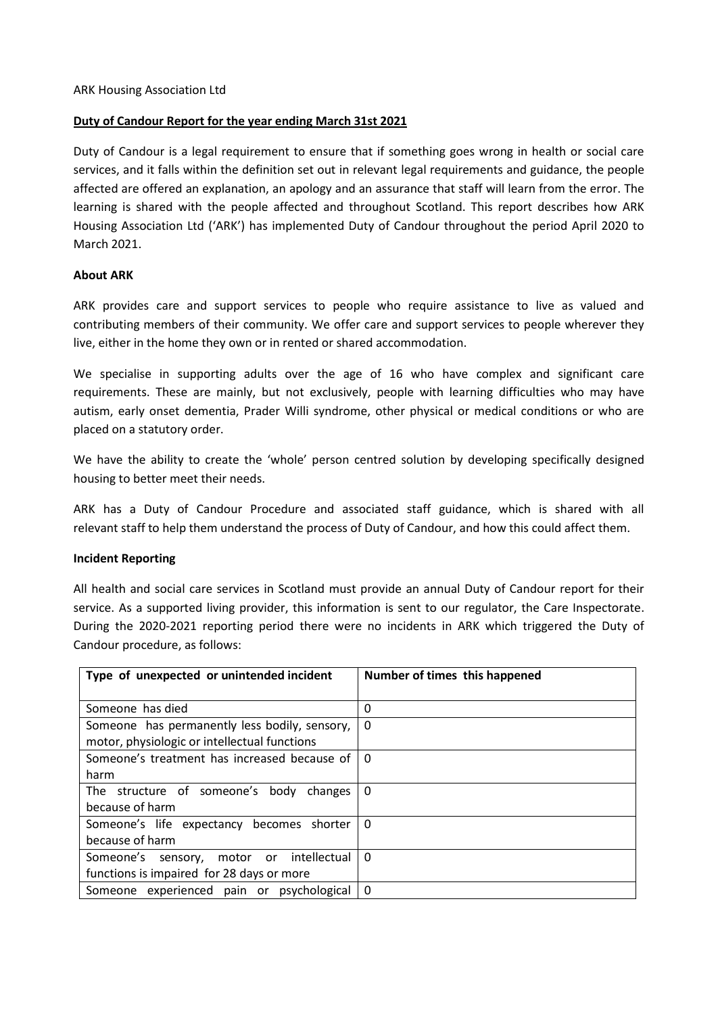## **Duty of Candour Report for the year ending March 31st 2021**

Duty of Candour is a legal requirement to ensure that if something goes wrong in health or social care services, and it falls within the definition set out in relevant legal requirements and guidance, the people affected are offered an explanation, an apology and an assurance that staff will learn from the error. The learning is shared with the people affected and throughout Scotland. This report describes how ARK Housing Association Ltd ('ARK') has implemented Duty of Candour throughout the period April 2020 to March 2021.

## **About ARK**

ARK provides care and support services to people who require assistance to live as valued and contributing members of their community. We offer care and support services to people wherever they live, either in the home they own or in rented or shared accommodation.

We specialise in supporting adults over the age of 16 who have complex and significant care requirements. These are mainly, but not exclusively, people with learning difficulties who may have autism, early onset dementia, Prader Willi syndrome, other physical or medical conditions or who are placed on a statutory order.

We have the ability to create the 'whole' person centred solution by developing specifically designed housing to better meet their needs.

ARK has a Duty of Candour Procedure and associated staff guidance, which is shared with all relevant staff to help them understand the process of Duty of Candour, and how this could affect them.

## **Incident Reporting**

All health and social care services in Scotland must provide an annual Duty of Candour report for their service. As a supported living provider, this information is sent to our regulator, the Care Inspectorate. During the 2020-2021 reporting period there were no incidents in ARK which triggered the Duty of Candour procedure, as follows:

| Type of unexpected or unintended incident     | Number of times this happened |
|-----------------------------------------------|-------------------------------|
|                                               |                               |
| Someone has died                              | 0                             |
| Someone has permanently less bodily, sensory, | $\Omega$                      |
| motor, physiologic or intellectual functions  |                               |
| Someone's treatment has increased because of  | $\Omega$                      |
| harm                                          |                               |
| The structure of someone's body<br>changes    | $\Omega$                      |
| because of harm                               |                               |
| Someone's life expectancy becomes shorter     | $\Omega$                      |
| because of harm                               |                               |
| motor or intellectual<br>Someone's sensory,   | $\Omega$                      |
| functions is impaired for 28 days or more     |                               |
| Someone experienced pain or psychological     | $\Omega$                      |